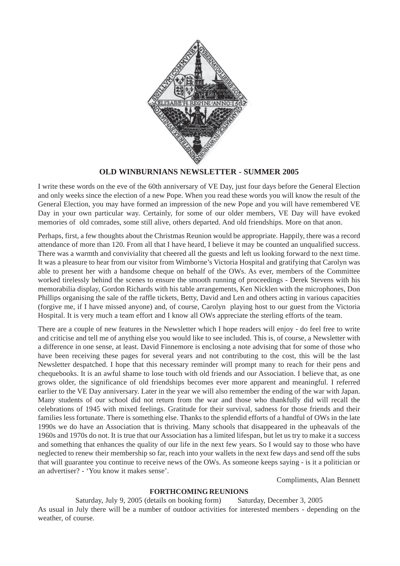

## **OLD WINBURNIANS NEWSLETTER - SUMMER 2005**

I write these words on the eve of the 60th anniversary of VE Day, just four days before the General Election and only weeks since the election of a new Pope. When you read these words you will know the result of the General Election, you may have formed an impression of the new Pope and you will have remembered VE Day in your own particular way. Certainly, for some of our older members, VE Day will have evoked memories of old comrades, some still alive, others departed. And old friendships. More on that anon.

Perhaps, first, a few thoughts about the Christmas Reunion would be appropriate. Happily, there was a record attendance of more than 120. From all that I have heard, I believe it may be counted an unqualified success. There was a warmth and conviviality that cheered all the guests and left us looking forward to the next time. It was a pleasure to hear from our visitor from Wimborne's Victoria Hospital and gratifying that Carolyn was able to present her with a handsome cheque on behalf of the OWs. As ever, members of the Committee worked tirelessly behind the scenes to ensure the smooth running of proceedings - Derek Stevens with his memorabilia display, Gordon Richards with his table arrangements, Ken Nicklen with the microphones, Don Phillips organising the sale of the raffle tickets, Betty, David and Len and others acting in various capacities (forgive me, if I have missed anyone) and, of course, Carolyn playing host to our guest from the Victoria Hospital. It is very much a team effort and I know all OWs appreciate the sterling efforts of the team.

There are a couple of new features in the Newsletter which I hope readers will enjoy - do feel free to write and criticise and tell me of anything else you would like to see included. This is, of course, a Newsletter with a difference in one sense, at least. David Finnemore is enclosing a note advising that for some of those who have been receiving these pages for several years and not contributing to the cost, this will be the last Newsletter despatched. I hope that this necessary reminder will prompt many to reach for their pens and chequebooks. It is an awful shame to lose touch with old friends and our Association. I believe that, as one grows older, the significance of old friendships becomes ever more apparent and meaningful. I referred earlier to the VE Day anniversary. Later in the year we will also remember the ending of the war with Japan. Many students of our school did not return from the war and those who thankfully did will recall the celebrations of 1945 with mixed feelings. Gratitude for their survival, sadness for those friends and their families less fortunate. There is something else. Thanks to the splendid efforts of a handful of OWs in the late 1990s we do have an Association that is thriving. Many schools that disappeared in the upheavals of the 1960s and 1970s do not. It is true that our Association has a limited lifespan, but let us try to make it a success and something that enhances the quality of our life in the next few years. So I would say to those who have neglected to renew their membership so far, reach into your wallets in the next few days and send off the subs that will guarantee you continue to receive news of the OWs. As someone keeps saying - is it a politician or an advertiser? - 'You know it makes sense'.

Compliments, Alan Bennett

## **FORTHCOMING REUNIONS**

Saturday, July 9, 2005 (details on booking form) Saturday, December 3, 2005 As usual in July there will be a number of outdoor activities for interested members - depending on the weather, of course.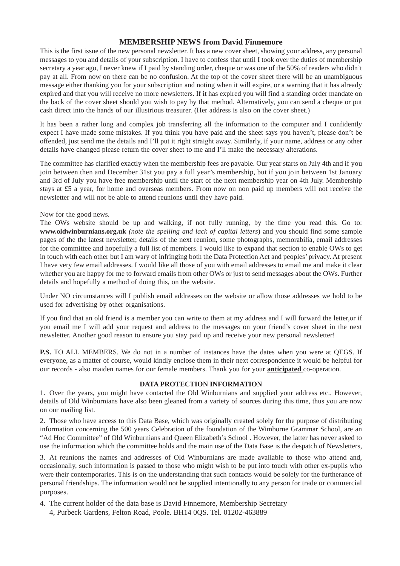# **MEMBERSHIP NEWS from David Finnemore**

This is the first issue of the new personal newsletter. It has a new cover sheet, showing your address, any personal messages to you and details of your subscription. I have to confess that until I took over the duties of membership secretary a year ago, I never knew if I paid by standing order, cheque or was one of the 50% of readers who didn't pay at all. From now on there can be no confusion. At the top of the cover sheet there will be an unambiguous message either thanking you for your subscription and noting when it will expire, or a warning that it has already expired and that you will receive no more newsletters. If it has expired you will find a standing order mandate on the back of the cover sheet should you wish to pay by that method. Alternatively, you can send a cheque or put cash direct into the hands of our illustrious treasurer. (Her address is also on the cover sheet.)

It has been a rather long and complex job transferring all the information to the computer and I confidently expect I have made some mistakes. If you think you have paid and the sheet says you haven't, please don't be offended, just send me the details and I'll put it right straight away. Similarly, if your name, address or any other details have changed please return the cover sheet to me and I'll make the necessary alterations.

The committee has clarified exactly when the membership fees are payable. Our year starts on July 4th and if you join between then and December 31st you pay a full year's membership, but if you join between 1st January and 3rd of July you have free membership until the start of the next membership year on 4th July. Membership stays at £5 a year, for home and overseas members. From now on non paid up members will not receive the newsletter and will not be able to attend reunions until they have paid.

### Now for the good news.

The OWs website should be up and walking, if not fully running, by the time you read this. Go to: **www.oldwinburnians.org.uk** *(note the spelling and lack of capital letters*) and you should find some sample pages of the the latest newsletter, details of the next reunion, some photographs, memorabilia, email addresses for the committee and hopefully a full list of members. I would like to expand that section to enable OWs to get in touch with each other but I am wary of infringing both the Data Protection Act and peoples' privacy. At present I have very few email addresses. I would like all those of you with email addresses to email me and make it clear whether you are happy for me to forward emails from other OWs or just to send messages about the OWs. Further details and hopefully a method of doing this, on the website.

Under NO circumstances will I publish email addresses on the website or allow those addresses we hold to be used for advertising by other organisations.

If you find that an old friend is a member you can write to them at my address and I will forward the letter,or if you email me I will add your request and address to the messages on your friend's cover sheet in the next newsletter. Another good reason to ensure you stay paid up and receive your new personal newsletter!

**P.S.** TO ALL MEMBERS. We do not in a number of instances have the dates when you were at QEGS. If everyone, as a matter of course, would kindly enclose them in their next correspondence it would be helpful for our records - also maiden names for our female members. Thank you for your **anticipated** co-operation.

#### **DATA PROTECTION INFORMATION**

1. Over the years, you might have contacted the Old Winburnians and supplied your address etc.. However, details of Old Winburnians have also been gleaned from a variety of sources during this time, thus you are now on our mailing list.

2. Those who have access to this Data Base, which was originally created solely for the purpose of distributing information concerning the 500 years Celebration of the foundation of the Wimborne Grammar School, are an "Ad Hoc Committee" of Old Winburnians and Queen Elizabeth's School . However, the latter has never asked to use the information which the committee holds and the main use of the Data Base is the despatch of Newsletters,

3. At reunions the names and addresses of Old Winburnians are made available to those who attend and, occasionally, such information is passed to those who might wish to be put into touch with other ex-pupils who were their contemporaries. This is on the understanding that such contacts would be solely for the furtherance of personal friendships. The information would not be supplied intentionally to any person for trade or commercial purposes.

4. The current holder of the data base is David Finnemore, Membership Secretary 4, Purbeck Gardens, Felton Road, Poole. BH14 0QS. Tel. 01202-463889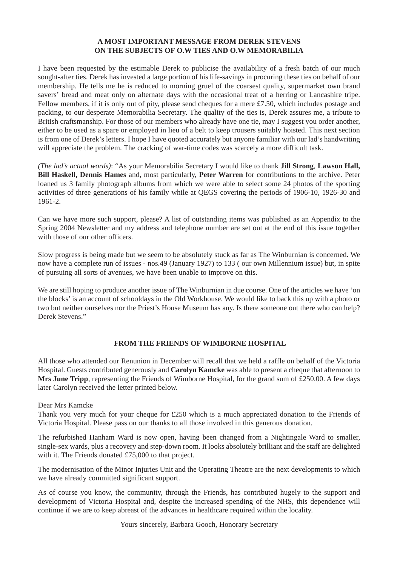## **A MOST IMPORTANT MESSAGE FROM DEREK STEVENS ON THE SUBJECTS OF O.W TIES AND O.W MEMORABILIA**

I have been requested by the estimable Derek to publicise the availability of a fresh batch of our much sought-after ties. Derek has invested a large portion of his life-savings in procuring these ties on behalf of our membership. He tells me he is reduced to morning gruel of the coarsest quality, supermarket own brand savers' bread and meat only on alternate days with the occasional treat of a herring or Lancashire tripe. Fellow members, if it is only out of pity, please send cheques for a mere £7.50, which includes postage and packing, to our desperate Memorabilia Secretary. The quality of the ties is, Derek assures me, a tribute to British craftsmanship. For those of our members who already have one tie, may I suggest you order another, either to be used as a spare or employed in lieu of a belt to keep trousers suitably hoisted. This next section is from one of Derek's letters. I hope I have quoted accurately but anyone familiar with our lad's handwriting will appreciate the problem. The cracking of war-time codes was scarcely a more difficult task.

*(The lad's actual words)*: "As your Memorabilia Secretary I would like to thank **Jill Strong**, **Lawson Hall, Bill Haskell, Dennis Hames** and, most particularly, **Peter Warren** for contributions to the archive. Peter loaned us 3 family photograph albums from which we were able to select some 24 photos of the sporting activities of three generations of his family while at QEGS covering the periods of 1906-10, 1926-30 and 1961-2.

Can we have more such support, please? A list of outstanding items was published as an Appendix to the Spring 2004 Newsletter and my address and telephone number are set out at the end of this issue together with those of our other officers.

Slow progress is being made but we seem to be absolutely stuck as far as The Winburnian is concerned. We now have a complete run of issues - nos.49 (January 1927) to 133 ( our own Millennium issue) but, in spite of pursuing all sorts of avenues, we have been unable to improve on this.

We are still hoping to produce another issue of The Winburnian in due course. One of the articles we have 'on the blocks' is an account of schooldays in the Old Workhouse. We would like to back this up with a photo or two but neither ourselves nor the Priest's House Museum has any. Is there someone out there who can help? Derek Stevens."

# **FROM THE FRIENDS OF WIMBORNE HOSPITAL**

All those who attended our Renunion in December will recall that we held a raffle on behalf of the Victoria Hospital. Guests contributed generously and **Carolyn Kamcke** was able to present a cheque that afternoon to **Mrs June Tripp**, representing the Friends of Wimborne Hospital, for the grand sum of £250.00. A few days later Carolyn received the letter printed below.

Dear Mrs Kamcke

Thank you very much for your cheque for £250 which is a much appreciated donation to the Friends of Victoria Hospital. Please pass on our thanks to all those involved in this generous donation.

The refurbished Hanham Ward is now open, having been changed from a Nightingale Ward to smaller, single-sex wards, plus a recovery and step-down room. It looks absolutely brilliant and the staff are delighted with it. The Friends donated £75,000 to that project.

The modernisation of the Minor Injuries Unit and the Operating Theatre are the next developments to which we have already committed significant support.

As of course you know, the community, through the Friends, has contributed hugely to the support and development of Victoria Hospital and, despite the increased spending of the NHS, this dependence will continue if we are to keep abreast of the advances in healthcare required within the locality.

Yours sincerely, Barbara Gooch, Honorary Secretary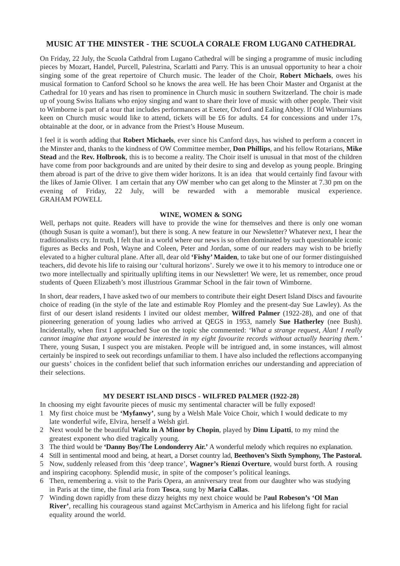# **MUSIC AT THE MINSTER - THE SCUOLA CORALE FROM LUGAN0 CATHEDRAL**

On Friday, 22 July, the Scuola Cathdral from Lugano Cathedral will be singing a programme of music including pieces by Mozart, Handel, Purcell, Palestrina, Scarlatti and Parry. This is an unusual opportunity to hear a choir singing some of the great repertoire of Church music. The leader of the Choir, **Robert Michaels**, owes his musical formation to Canford School so he knows the area well. He has been Choir Master and Organist at the Cathedral for 10 years and has risen to prominence in Church music in southern Switzerland. The choir is made up of young Swiss Italians who enjoy singing and want to share their love of music with other people. Their visit to Wimborne is part of a tour that includes performances at Exeter, Oxford and Ealing Abbey. If Old Winburnians keen on Church music would like to attend, tickets will be £6 for adults. £4 for concessions and under 17s, obtainable at the door, or in advance from the Priest's House Museum.

I feel it is worth adding that **Robert Michaels**, ever since his Canford days, has wished to perform a concert in the Minster and, thanks to the kindness of OW Committee member, **Don Phillips**, and his fellow Rotarians, **Mike Stead** and the **Rev. Holbrook**, this is to become a reality. The Choir itself is unusual in that most of the children have come from poor backgrounds and are united by their desire to sing and develop as young people. Bringing them abroad is part of the drive to give them wider horizons. It is an idea that would certainly find favour with the likes of Jamie Oliver. I am certain that any OW member who can get along to the Minster at 7.30 pm on the evening of Friday, 22 July, will be rewarded with a memorable musical experience. GRAHAM POWELL

### **WINE, WOMEN & SONG**

Well, perhaps not quite. Readers will have to provide the wine for themselves and there is only one woman (though Susan is quite a woman!), but there is song. A new feature in our Newsletter? Whatever next, I hear the traditionalists cry. In truth, I felt that in a world where our news is so often dominated by such questionable iconic figures as Becks and Posh, Wayne and Coleen, Peter and Jordan, some of our readers may wish to be briefly elevated to a higher cultural plane. After all, dear old **'Fishy' Maiden**, to take but one of our former distinguished teachers, did devote his life to raising our 'cultural horizons'. Surely we owe it to his memory to introduce one or two more intellectually and spiritually uplifting items in our Newsletter! We were, let us remember, once proud students of Queen Elizabeth's most illustrious Grammar School in the fair town of Wimborne.

In short, dear readers, I have asked two of our members to contribute their eight Desert Island Discs and favourite choice of reading (in the style of the late and estimable Roy Plomley and the present-day Sue Lawley). As the first of our desert island residents I invited our oldest member, **Wilfred Palmer** (1922-28), and one of that pioneering generation of young ladies who arrived at QEGS in 1953, namely **Sue Hatherley** (nee Bush). Incidentally, when first I approached Sue on the topic she commented: *'What a strange request, Alan! I really cannot imagine that anyone would be interested in my eight favourite records without actually hearing them.'* There, young Susan, I suspect you are mistaken. People will be intrigued and, in some instances, will almost certainly be inspired to seek out recordings unfamiliar to them. I have also included the reflections accompanying our guests' choices in the confident belief that such information enriches our understanding and appreciation of their selections.

#### **MY DESERT ISLAND DISCS - WILFRED PALMER (1922-28)**

In choosing my eight favourite pieces of music my sentimental character will be fully exposed!

- 1 My first choice must be **'Myfanwy'**, sung by a Welsh Male Voice Choir, which I would dedicate to my late wonderful wife, Elvira, herself a Welsh girl.
- 2 Next would be the beautiful **Waltz in A Minor by Chopin**, played by **Dinu Lipatti**, to my mind the greatest exponent who died tragically young.
- 3 The third would be **'Danny Boy/The Londonderry Air.'** A wonderful melody which requires no explanation.
- 4 Still in sentimental mood and being, at heart, a Dorset country lad, **Beethoven's Sixth Symphony, The Pastoral.**

5 Now, suddenly released from this 'deep trance', **Wagner's Rienzi Overture**, would burst forth. A rousing and inspiring cacophony. Splendid music, in spite of the composer's political leanings.

- 6 Then, remembering a. visit to the Paris Opera, an anniversary treat from our daughter who was studying in Paris at the time, the final aria from **Tosca**, sung by **Maria Callas**.
- 7 Winding down rapidly from these dizzy heights my next choice would be P**aul Robeson's 'Ol Man River'**, recalling his courageous stand against McCarthyism in America and his lifelong fight for racial equality around the world.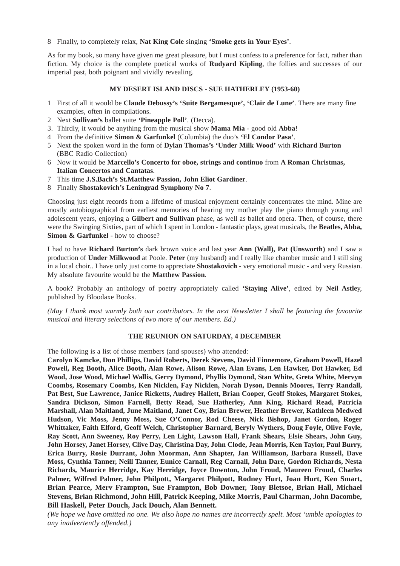8 Finally, to completely relax, **Nat King Cole** singing **'Smoke gets in Your Eyes'**.

As for my book, so many have given me great pleasure, but I must confess to a preference for fact, rather than fiction. My choice is the complete poetical works of **Rudyard Kipling**, the follies and successes of our imperial past, both poignant and vividly revealing.

### **MY DESERT ISLAND DISCS - SUE HATHERLEY (1953-60)**

- 1 First of all it would be **Claude Debussy's 'Suite Bergamesque', 'Clair de Lune'**. There are many fine examples, often in compilations.
- 2 Next **Sullivan's** ballet suite **'Pineapple Poll'**. (Decca).
- 3. Thirdly, it would be anything from the musical show **Mama Mia**  good old **Abba**!
- 4 From the definitive **Simon & Garfunkel** (Columbia) the duo's **'El Condor Pasa'**.
- 5 Next the spoken word in the form of **Dylan Thomas's 'Under Milk Wood'** with **Richard Burton** (BBC Radio Collection)
- 6 Now it would be **Marcello's Concerto for oboe, strings and continuo** from **A Roman Christmas, Italian Concertos and Cantatas**.
- 7 This time **J.S.Bach's St.Matthew Passion, John Eliot Gardiner**.
- 8 Finally **Shostakovich's Leningrad Symphony No 7**.

Choosing just eight records from a lifetime of musical enjoyment certainly concentrates the mind. Mine are mostly autobiographical from earliest memories of hearing my mother play the piano through young and adolescent years, enjoying a **Gilbert and Sullivan** phase, as well as ballet and opera. Then, of course, there were the Swinging Sixties, part of which I spent in London - fantastic plays, great musicals, the **Beatles, Abba, Simon & Garfunkel - how to choose?** 

I had to have **Richard Burton's** dark brown voice and last year **Ann (Wall), Pat (Unsworth)** and I saw a production of **Under Milkwood** at Poole. **Peter** (my husband) and I really like chamber music and I still sing in a local choir.. I have only just come to appreciate **Shostakovich** - very emotional music - and very Russian. My absolute favourite would be the **Matthew Passion**.

A book? Probably an anthology of poetry appropriately called **'Staying Alive'**, edited by **Neil Astle**y, published by Bloodaxe Books.

*(May I thank most warmly both our contributors. In the next Newsletter I shall be featuring the favourite musical and literary selections of two more of our members. Ed.)*

## **THE REUNION ON SATURDAY, 4 DECEMBER**

The following is a list of those members (and spouses) who attended:

**Carolyn Kamcke, Don Phillips, David Roberts, Derek Stevens, David Finnemore, Graham Powell, Hazel Powell, Reg Booth, Alice Booth, Alan Rowe, Alison Rowe, Alan Evans, Len Hawker, Dot Hawker, Ed Wood, Jose Wood, Michael Wallis, Gerry Dymond, Phyllis Dymond, Stan White, Greta White, Mervyn Coombs, Rosemary Coombs, Ken Nicklen, Fay Nicklen, Norah Dyson, Dennis Moores, Terry Randall, Pat Best, Sue Lawrence, Janice Ricketts, Audrey Hallett, Brian Cooper, Geoff Stokes, Margaret Stokes, Sandra Dickson, Simon Farnell, Betty Read, Sue Hatherley, Ann King, Richard Read, Patricia Marshall, Alan Maitland, June Maitland, Janet Coy, Brian Brewer, Heather Brewer, Kathleen Medwed Hudson, Vic Moss, Jenny Moss, Sue O'Connor, Rod Cheese, Nick Bishop, Janet Gordon, Roger Whittaker, Faith Elford, Geoff Welch, Christopher Barnard, Beryly Wythers, Doug Foyle, Olive Foyle, Ray Scott, Ann Sweeney, Roy Perry, Len Light, Lawson Hall, Frank Shears, Elsie Shears, John Guy, John Horsey, Janet Horsey, Clive Day, Christina Day, John Clode, Jean Morris, Ken Taylor, Paul Burry, Erica Burry, Rosie Durrant, John Moorman, Ann Shapter, Jan Williamson, Barbara Russell, Dave Moss, Cynthia Tanner, Neill Tanner, Eunice Carnall, Reg Carnall, John Dare, Gordon Richards, Nesta Richards, Maurice Herridge, Kay Herridge, Joyce Downton, John Froud, Maureen Froud, Charles Palmer, Wilfred Palmer, John Philpott, Margaret Philpott, Rodney Hurt, Joan Hurt, Ken Smart, Brian Pearce, Merv Frampton, Sue Frampton, Bob Downer, Tony Bletsoe, Brian Hall, Michael Stevens, Brian Richmond, John Hill, Patrick Keeping, Mike Morris, Paul Charman, John Dacombe, Bill Haskell, Peter Douch, Jack Douch, Alan Bennett.**

*(We hope we have omitted no one. We also hope no names are incorrectly spelt. Most 'umble apologies to any inadvertently offended.)*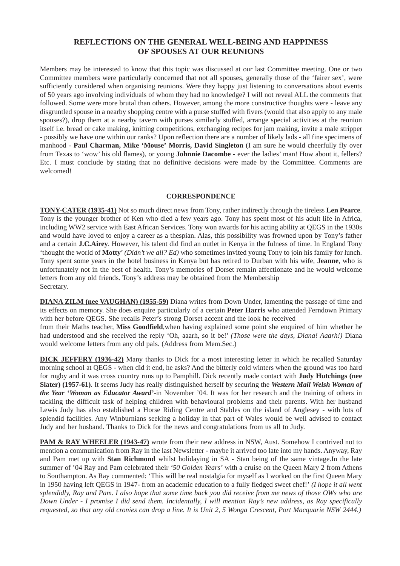# **REFLECTIONS ON THE GENERAL WELL-BEING AND HAPPINESS OF SPOUSES AT OUR REUNIONS**

Members may be interested to know that this topic was discussed at our last Committee meeting. One or two Committee members were particularly concerned that not all spouses, generally those of the 'fairer sex', were sufficiently considered when organising reunions. Were they happy just listening to conversations about events of 50 years ago involving individuals of whom they had no knowledge? I will not reveal ALL the comments that followed. Some were more brutal than others. However, among the more constructive thoughts were - leave any disgruntled spouse in a nearby shopping centre with a purse stuffed with fivers (would that also apply to any male spouses?), drop them at a nearby tavern with purses similarly stuffed, arrange special activities at the reunion itself i.e. bread or cake making, knitting competitions, exchanging recipes for jam making, invite a male stripper - possibly we have one within our ranks? Upon reflection there are a number of likely lads - all fine specimens of manhood - **Paul Charman, Mike 'Mouse' Morris, David Singleton** (I am sure he would cheerfully fly over from Texas to 'wow' his old flames), or young **Johnnie Dacombe** - ever the ladies' man! How about it, fellers? Etc. I must conclude by stating that no definitive decisions were made by the Committee. Comments are welcomed!

#### **CORRESPONDENCE**

**TONY-CATER (1935-41)** Not so much direct news from Tony, rather indirectly through the tireless **Len Pearce**. Tony is the younger brother of Ken who died a few years ago. Tony has spent most of his adult life in Africa, including WW2 service with East African Services. Tony won awards for his acting ability at QEGS in the 1930s and would have loved to enjoy a career as a thespian. Alas, this possibility was frowned upon by Tony's father and a certain **J.C.Airey**. However, his talent did find an outlet in Kenya in the fulness of time. In England Tony 'thought the world of **Motty**' *(Didn't we all? Ed)* who sometimes invited young Tony to join his family for lunch. Tony spent some years in the hotel business in Kenya but has retired to Durban with his wife, **Jeanne**, who is unfortunately not in the best of health. Tony's memories of Dorset remain affectionate and he would welcome letters from any old friends. Tony's address may be obtained from the Membership Secretary.

**DIANA ZILM (nee VAUGHAN) (1955-59)** Diana writes from Down Under, lamenting the passage of time and its effects on memory. She does enquire particularly of a certain **Peter Harris** who attended Ferndown Primary with her before QEGS. She recalls Peter's strong Dorset accent and the look he received

from their Maths teacher, **Miss Goodfield**,when having explained some point she enquired of him whether he had understood and she received the reply 'Oh, aaarh, so it be!' *(Those were the days, Diana! Aaarh!)* Diana would welcome letters from any old pals. (Address from Mem.Sec.)

**DICK JEFFERY (1936-42)** Many thanks to Dick for a most interesting letter in which he recalled Saturday morning school at QEGS - when did it end, he asks? And the bitterly cold winters when the ground was too hard for rugby and it was cross country runs up to Pamphill. Dick recently made contact with **Judy Hutchings (nee Slater) (1957-61)**. It seems Judy has really distinguished herself by securing the *Western Mail Welsh Woman of the Year 'Woman as Educator Award'*-in November '04. It was for her research and the training of others in tackling the difficult task of helping children with behavioural problems and their parents. With her husband Lewis Judy has also established a Horse Riding Centre and Stables on the island of Anglesey - with lots of splendid facilities. Any Winburnians seeking a holiday in that part of Wales would be well advised to contact Judy and her husband. Thanks to Dick for the news and congratulations from us all to Judy.

**PAM & RAY WHEELER (1943-47)** wrote from their new address in NSW, Aust. Somehow I contrived not to mention a communication from Ray in the last Newsletter - maybe it arrived too late into my hands. Anyway, Ray and Pam met up with **Stan Richmond** whilst holidaying in SA - Stan being of the same vintage.In the late summer of '04 Ray and Pam celebrated their *'50 Golden Years'* with a cruise on the Queen Mary 2 from Athens to Southampton. As Ray commented: 'This will be real nostalgia for myself as I worked on the first Queen Mary in 1950 having left QEGS in 1947- from an academic education to a fully fledged sweet chef!' *(I hope it all went splendidly, Ray and Pam. I also hope that some time back you did receive from me news of those OWs who are Down Under - I promise I did send them. Incidentally, I will mention Ray's new address, as Ray specifically requested, so that any old cronies can drop a line. It is Unit 2, 5 Wonga Crescent, Port Macquarie NSW 2444.)*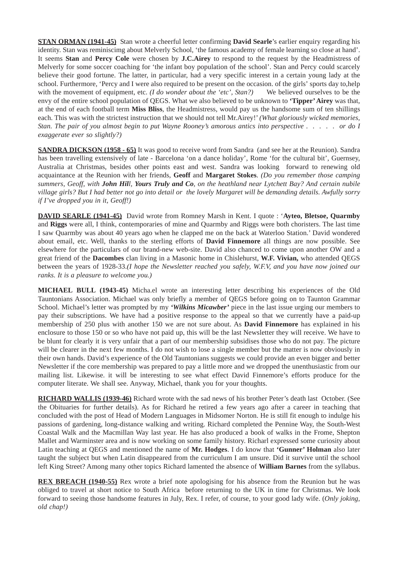**STAN ORMAN (1941-45)** Stan wrote a cheerful letter confirming **David Searle**'s earlier enquiry regarding his identity. Stan was reminiscimg about Melverly School, 'the famous academy of female learning so close at hand'. It seems **Stan** and **Percy Cole** were chosen by **J.C.Airey** to respond to the request by the Headmistress of Melverly for some soccer coaching for 'the infant boy population of the school'. Stan and Percy could scarcely believe their good fortune. The latter, in particular, had a very specific interest in a certain young lady at the school. Furthermore, 'Percy and I were also required to be present on the occasion. of the girls' sports day to,help with the movement of equipment, etc. *(I do wonder about the 'etc', Stan?)* We believed ourselves to be the envy of the entire school population of QEGS. What we also believed to be unknown to **'Tipper' Airey** was that, at the end of each football term **Miss Bliss**, the Headmistress, would pay us the handsome sum of ten shillings each. This was with the strictest instruction that we should not tell Mr.Airey!' *(What gloriously wicked memories, Stan. The pair of you almost begin to put Wayne Rooney's amorous antics into perspective . . . . . or do I exaggerate ever so slightly?)*

**SANDRA DICKSON (1958 - 65)** It was good to receive word from Sandra (and see her at the Reunion). Sandra has been travelling extensively of late - Barcelona 'on a dance holiday', Rome 'for the cultural bit', Guernsey, Australia at Christmas, besides other points east and west. Sandra was looking forward to renewing old acquaintance at the Reunion with her friends, **Geoff** and **Margaret Stokes**. *(Do you remember those camping summers, Geoff, with John Hill, Yours Truly and Co, on the heathland near Lytchett Bay? And certain nubile village girls? But I had better not go into detail or the lovely Margaret will be demanding details. Awfully sorry if I've dropped you in it, Geoff!)*

**DAVID SEARLE (1941-45)** David wrote from Romney Marsh in Kent. I quote : '**Ayteo, Bletsoe, Quarmby** and **Riggs** were all, I think, contemporaries of mine and Quarmby and Riggs were both choristers. The last time I saw Quarmby was about 40 years ago when he clapped me on the back at Waterloo Station.' David wondered about email, etc. Well, thanks to the sterling efforts of **David Finnemore** all things are now possible. See elsewhere for the particulars of our brand-new web-site. David also chanced to come upon another OW and a great friend of the **Dacombes** clan living in a Masonic home in Chislehurst, **W.F. Vivian,** who attended QEGS between the years of 1928-33.*(I hope the Newsletter reached you safely, W.F.V, and you have now joined our ranks. It is a pleasure to welcome you.)*

**MICHAEL BULL (1943-45)** Micha.el wrote an interesting letter describing his experiences of the Old Tauntonians Association. Michael was only briefly a member of QEGS before going on to Taunton Grammar School. Michael's letter was prompted by my *'Wilkins Micawber'* piece in the last issue urging our members to pay their subscriptions. We have had a positive response to the appeal so that we currently have a paid-up membership of 250 plus with another 150 we are not sure about. As **David Finnemore** has explained in his enclosure to those 150 or so who have not paid up, this will be the last Newsletter they will receive. We have to be blunt for clearly it is very unfair that a part of our membership subsidises those who do not pay. The picture will be clearer in the next few months. I do not wish to lose a single member but the matter is now obviously in their own hands. David's experience of the Old Tauntonians suggests we could provide an even bigger and better Newsletter if the core membership was prepared to pay a little more and we dropped the unenthusiastic from our mailing list. Likewise. it will be interesting to see what effect David Finnemore's efforts produce for the computer literate. We shall see. Anyway, Michael, thank you for your thoughts.

**RICHARD WALLIS (1939-46)** Richard wrote with the sad news of his brother Peter's death last October. (See the Obituaries for further details). As for Richard he retired a few years ago after a career in teaching that concluded with the post of Head of Modern Languages in Midsomer Norton. He is still fit enough to indulge his passions of gardening, long-distance walking and writing. Richard completed the Pennine Way, the South-West Coastal Walk and the Macmillan Way last year. He has also produced a book of walks in the Frome, Shepton Mallet and Warminster area and is now working on some family history. Richarl expressed some curiosity about Latin teaching at QEGS and mentioned the name of **Mr. Hodges**. I do know that **'Gunner' Holman** also later taught the subject but when Latin disappeared from the curriculum I am unsure. Did it survive until the school left King Street? Among many other topics Richard lamented the absence of **William Barnes** from the syllabus.

**REX BREACH (1940-55)** Rex wrote a brief note apologising for his absence from the Reunion but he was obliged to travel at short notice to South Africa before returning to the UK in time for Christmas. We look forward to seeing those handsome features in July, Rex. I refer, of course, to your good lady wife. (*Only joking, old chap!)*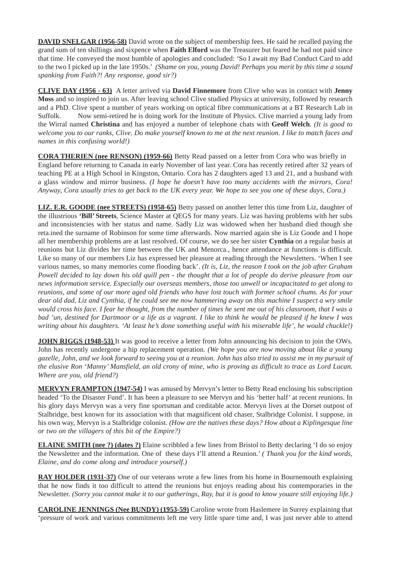**DAVID SNELGAR (1956-58)** David wrote on the subject of membership fees. He said he recalled paying the grand sum of ten shillings and sixpence when **Faith Elford** was the Treasurer but feared he had not paid since that time. He conveyed the most humble of apologies and concluded: *'*So I await my Bad Conduct Card to add to the two I picked up in the late 1950s.' *(Shame on you, young David! Perhaps you merit by this time a sound spanking from Faith?! Any response, good sir?)*

**CLIVE DAY (1956 - 63)** A letter arrived via **David Finnemore** from Clive who was in contact with **Jenny Moss** and so inspired to join us. After leaving school Clive studied Physics at university, followed by research and a PhD. Clive spent a number of years working on optical fibre communications at a BT Research Lab in Suffolk. Now semi-retired he is doing work for the Institute of Physics. Clive married a young lady from the Wirral named **Christina** and has enjoyed a number of telephone chats with **Geoff Welch**. *(It is good to welcome you to our ranks, Clive. Do make yourself known to me at the next reunion. I like to match faces and names in this confusing world!)*

**CORA THERIEN (nee RENSON) (1959-66)** Betty Read passed on a letter from Cora who was briefly in England before returning to Canada in early November of last year. Cora has recently retired after 32 years of teaching PE at a High School in Kingston, Ontario. Cora has 2 daughters aged 13 and 21, and a husband with a glass window and mirror business. *(I hope he doesn't have too many accidents with the mirrors, Cora! Anyway, Cora usually tries to get back to the UK every year. We hope to see you one of these days, Cora.)*

**LIZ. E.R. GOODE (nee STREETS) (1958-65)** Betty passed on another letter this time from Liz, daughter of the illustrious **'Bill' Streets**, Science Master at QEGS for many years. Liz was having problems with her subs and inconsistencies with her status and name. Sadly Liz was widowed when her husband died though she reta.ined the surname of Robinson for some time afterwards. Now married again she is Liz Goode and I hope all her membership problems are at last resolved. Of course, we do see her sister **Cynthia** on a regular basis at reunions but Liz divides her time between the UK and Menorca., hence attendance at functions is difficult. Like so many of our members Liz has expressed her pleasure at reading through the Newsletters. 'When I see various names, so many memories come flooding back'. *(It is, Liz, the reason I took on the job after Graham Powell decided to lay down his old quill pen - the thought that a lot of people do derive pleasure from our news information service. Especially our overseas members, those too unwell or incapacitated to get along to reunions, and some of our more aged old friends who have lost touch with former school chums. As for your dear old dad, Liz and Cynthia, if he could see me now hammering away on this machine I suspect a wry smile would cross his face. I fear he thought, from the number of times he sent me out of his classroom, that I was a bad 'un, destined for Dartmoor or a life as a vagrant. I like to think he would be pleased if he knew I was writing about his daughters. 'At least he's done something useful with his miserable life', he would chuckle!)*

**JOHN RIGGS (1948-53)** It was good to receive a letter from John announcing his decision to join the OWs. John has recently undergone a hip replacement operation. *(We hope you are now moving about like a young gazelle, John, and we look forward to seeing you at a reunion. John has also tried to assist me in my pursuit of the elusive Ron 'Manny' Mansfield, an old crony of mine, who is proving as difficult to trace as Lord Lucan. Where are you, old friend?)*

**MERVYN FRAMPTON (1947-54)** I was amused by Mervyn's letter to Betty Read enclosing his subscription headed 'To the Disaster Fund'. It has been a pleasure to see Mervyn and his 'better half' at recent reunions. In his glory days Mervyn was a very fine sportsman and creditable actor. Mervyn lives at the Dorset outpost of Stalbridge, best known for its association with that magnificent old chaser, Stalbridge Colonist. I suppose, in his own way, Mervyn is a Stalbridge colonist. *(How are the natives these days? How about a Kiplingesque line or two on the villagers of this bit of the Empire?)*

**ELAINE SMITH (nee ?) (dates ?)** Elaine scribbled a few lines from Bristol to Betty declaring 'I do so enjoy the Newsletter and the information. One of these days I'll attend a Reunion.' *( Thank you for the kind words, Elaine, and do come along and introduce yourself.)*

**RAY HOLDER (1931-37)** One of our veterans wrote a few lines from his home in Bournemouth explaining that he now finds it too difficult to attend the reunions but enjoys reading about his contemporaries in the Newsletter. *(Sorry you cannot make it to our gatherings, Ray, but it is good to know youare still enjoying life.)*

**CAROLINE JENNINGS (Nee BUNDY) (1953-59)** Caroline wrote from Haslemere in Surrey explaining that 'pressure of work and various commitments left me very little spare time and, I was just never able to attend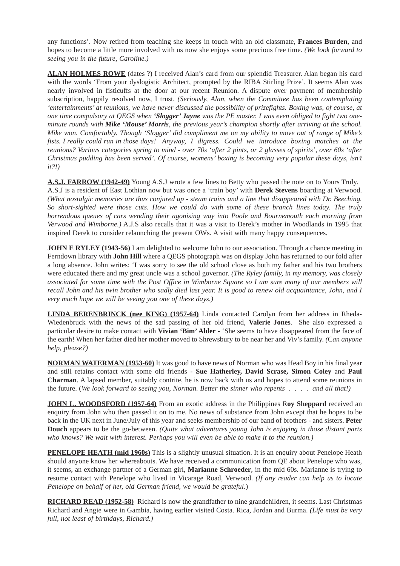any functions'*.* Now retired from teaching she keeps in touch with an old classmate, **Frances Burden**, and hopes to become a little more involved with us now she enjoys some precious free time. *(We look forward to seeing you in the future, Caroline.)*

**ALAN HOLMES ROWE** (dates ?) I received Alan's card from our splendid Treasurer. Alan began his card with the words 'From your dyslogistic Architect, prompted by the RIBA Stirling Prize'. It seems Alan was nearly involved in fisticuffs at the door at our recent Reunion. A dispute over payment of membership subscription, happily resolved now, I trust. *(Seriously, Alan, when the Committee has been contemplating 'entertainments' at reunions, we have never discussed the possibility of prizefights. Boxing was, of course, at one time compulsory at QEGS when 'Slogger' Jayne was the PE master. I was even obliged to fight two oneminute rounds with Mike 'Mouse' Morris, the previous year's champion shortly after arriving at the school. Mike won. Comfortably. Though 'Slogger' did compliment me on my ability to move out of range of Mike's fists. I really could run in those days! Anyway, I digress. Could we introduce boxing matches at the reunions? Various categories spring to mind - over 70s 'after 2 pints, or 2 glasses of spirits', over 60s 'after Christmas pudding has been served'. Of course, womens' boxing is becoming very popular these days, isn't it?!)*

**A.S.J. FARROW (1942-49)** Young A.S.J wrote a few lines to Betty who passed the note on to Yours Truly. A.S.J is a resident of East Lothian now but was once a 'train boy' with **Derek Stevens** boarding at Verwood. *(What nostalgic memories are thus conjured up - steam trains and a line that disappeared with Dr. Beeching. So short-sighted were those cuts. How we could do with some of these branch lines today. The truly horrendous queues of cars wending their agonising way into Poole and Bournemouth each morning from Verwood and Wimborne.)* A.J.S also recalls that it was a visit to Derek's mother in Woodlands in 1995 that inspired Derek to consider relaunching the present OWs. A visit with many happy consequences.

**JOHN E RYLEY (1943-56)** I am delighted to welcome John to our association. Through a chance meeting in Ferndown library with **John Hill** where a QEGS photograph was on display John has returned to our fold after a long absence. John writes: 'I was sorry to see the old school close as both my father and his two brothers were educated there and my great uncle was a school governor. *(The Ryley family, in my memory, was closely associated for some time with the Post Office in Wimborne Square so I am sure many of our members will recall John and his twin brother who sadly died last year. It is good to renew old acquaintance, John, and I very much hope we will be seeing you one of these days.)*

**LINDA BERENBRINCK (nee KING) (1957-64)** Linda contacted Carolyn from her address in Rheda-Wiedenbruck with the news of the sad passing of her old friend, **Valerie Jones**. She also expressed a particular desire to make contact with **Vivian 'Bim' Alder** - 'She seems to have disappeared from the face of the earth! When her father died her mother moved to Shrewsbury to be near her and Viv's family. *(*C*an anyone help, please?)*

**NORMAN WATERMAN (1953-60)** It was good to have news of Norman who was Head Boy in his final year and still retains contact with some old friends - **Sue Hatherley, David Scrase, Simon Coley** and **Paul Charman**. A lapsed member, suitably contrite, he is now back with us and hopes to attend some reunions in the future. (*We look forward to seeing you, Norman. Better the sinner who repents . . . . and all that!)*

**JOHN L. WOODSFORD (1957-64)** From an exotic address in the Philippines Roy Sheppard received an enquiry from John who then passed it on to me. No news of substance from John except that he hopes to be back in the UK next in June/July of this year and seeks membership of our band of brothers - and sisters. **Peter Douch** appears to be the go-between. *(Quite what adventures young John is enjoying in those distant parts who knows? We wait with interest. Perhaps you will even be able to make it to the reunion.)*

**PENELOPE HEATH (mid 1960s)** This is a slightly unusual situation. It is an enquiry about Penelope Heath should anyone know her whereabouts. We have received a communication from QE about Penelope who was, it seems, an exchange partner of a German girl, **Marianne Schroeder**, in the mid 60s. Marianne is trying to resume contact with Penelope who lived in Vicarage Road, Verwood. *(If any reader can help us to locate Penelope on behalf of her, old German friend, we would be grateful*.)

**RICHARD READ (1952-58)** Richard is now the grandfather to nine grandchildren, it seems. Last Christmas Richard and Angie were in Gambia, having earlier visited Costa. Rica, Jordan and Burma. *(Life must be very full, not least of birthdays, Richard.)*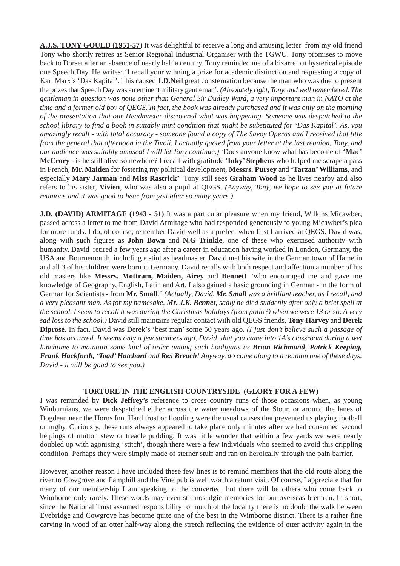**A.J.S. TONY GOULD (1951-57**) It was delightful to receive a long and amusing letter from my old friend Tony who shortly retires as Senior Regional Industrial Organiser with the TGWU. Tony promises to move back to Dorset after an absence of nearly half a century. Tony reminded me of a bizarre but hysterical episode one Speech Day. He writes: 'I recall your winning a prize for academic distinction and requesting a copy of Karl Marx's 'Das Kapital'. This caused **J.D.Neil** great consternation because the man who was due to present the prizes that Speech Day was an eminent military gentleman'. *(Absolutely right, Tony, and well remembered. The gentleman in question was none other than General Sir Dudley Ward, a very important man in NATO at the time and a former old boy of QEGS. In fact, the book was already purchased and it was only on the morning of the presentation that our Headmaster discovered what was happening. Someone was despatched to the school library to find a book in suitably mint condition that might be substituted for 'Das Kapital'. As, you amazingly recall - with total accuracy - someone found a copy of The Savoy Operas and I received that title from the general that afternoon in the Tivoli. I actually quoted from your letter at the last reunion, Tony, and our audience was suitably amused! I will let Tony continue.)* 'Does anyone know what has become of **'Mac' McCrory** - is he still alive somewhere? I recall with gratitude **'Inky' Stephens** who helped me scrape a pass in French, **Mr. Maiden** for fostering my political development, **Messrs. Pursey** and **'Tarzan' Williams**, and especially **Mary Jarman** and **Miss Rastrick'** Tony still sees **Graham Wood** as he lives nearby and also refers to his sister, **Vivien**, who was also a pupil at QEGS. *(Anyway, Tony, we hope to see you at future reunions and it was good to hear from you after so many years.)*

**J.D. (DAVID) ARMITAGE (1943 - 51)** It was a particular pleasure when my friend, Wilkins Micawber, passed across a letter to me from David Armitage who had responded generously to young Micawber's plea for more funds. I do, of course, remember David well as a prefect when first I arrived at QEGS. David was, along with such figures as **John Bown** and **N.G Trinkle**, one of these who exercised authority with humanity. David retired a few years ago after a career in education having worked in London, Germany, the USA and Bournemouth, including a stint as headmaster. David met his wife in the German town of Hamelin and all 3 of his children were born in Germany. David recalls with both respect and affection a number of his old masters like **Messrs. Mottram, Maiden, Airey** and **Bennett** "who encouraged me and gave me knowledge of Geography, English, Latin and Art. I also gained a basic grounding in German - in the form of German for Scientists - from **Mr. Small**." *(Actually, David, Mr. Small was a brilliant teacher, as I recall, and a very pleasant man. As for my namesake, Mr. J.K. Bennet, sadly he died suddenly after only a brief spell at the school. I seem to recall it was during the Christmas holidays (from polio?) when we were 13 or so. A very sad loss to the school.)* David still maintains regular contact with old QEGS friends, **Tony Harvey** and **Derek Diprose**. In fact, David was Derek's 'best man' some 50 years ago. *(I just don't believe such a passage of time has occurred. It seems only a few summers ago, David, that you came into 1A's classroom during a wet lunchtime to maintain some kind of order among such hooligans as Brian Richmond, Patrick Keeping, Frank Hackforth, 'Toad' Hatchard and Rex Breach! Anyway, do come along to a reunion one of these days, David - it will be good to see you.)*

# **TORTURE IN THE ENGLISH COUNTRYSIDE (GLORY FOR A FEW)**

I was reminded by **Dick Jeffrey's** reference to cross country runs of those occasions when, as young Winburnians, we were despatched either across the water meadows of the Stour, or around the lanes of Dogdean near the Horns Inn. Hard frost or flooding were the usual causes that prevented us playing football or rugby. Curiously, these runs always appeared to take place only minutes after we had consumed second helpings of mutton stew or treacle pudding. It was little wonder that within a few yards we were nearly doubled up with agonising 'stitch', though there were a few individuals who seemed to avoid this crippling condition. Perhaps they were simply made of sterner stuff and ran on heroically through the pain barrier.

However, another reason I have included these few lines is to remind members that the old route along the river to Cowgrove and Pamphill and the Vine pub is well worth a return visit. Of course, I appreciate that for many of our membership I am speaking to the converted, but there will be others who come back to Wimborne only rarely. These words may even stir nostalgic memories for our overseas brethren. In short, since the National Trust assumed responsibility for much of the locality there is no doubt the walk between Eyebridge and Cowgrove has become quite one of the best in the Wimborne district. There is a rather fine carving in wood of an otter half-way along the stretch reflecting the evidence of otter activity again in the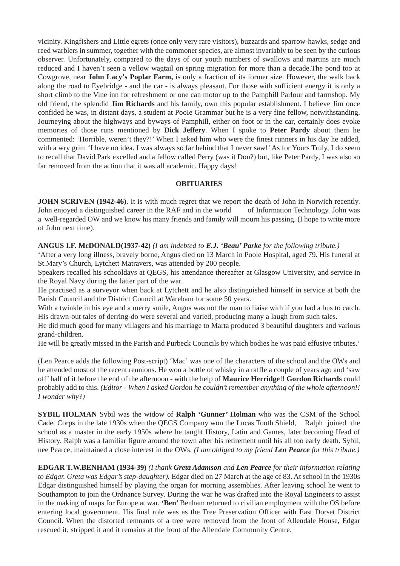vicinity. Kingfishers and Little egrets (once only very rare visitors), buzzards and sparrow-hawks, sedge and reed warblers in summer, together with the commoner species, are almost invariably to be seen by the curious observer. Unfortunately, compared to the days of our youth numbers of swallows and martins are much reduced and I haven't seen a yellow wagtail on spring migration for more than a decade.The pond too at Cowgrove, near **John Lacy's Poplar Farm,** is only a fraction of its former size. However, the walk back along the road to Eyebridge - and the car - is always pleasant. For those with sufficient energy it is only a short climb to the Vine inn for refreshment or one can motor up to the Pamphill Parlour and farmshop. My old friend, the splendid **Jim Richards** and his family, own this popular establishment. I believe Jim once confided he was, in distant days, a student at PooIe Grammar but he is a very fine fellow, notwithstanding. Journeying about the highways and byways of Pamphill, either on foot or in the car, certainly does evoke memories of those runs mentioned by **Dick Jeffery**. When I spoke to **Peter Pardy** about them he commented: 'Horrible, weren't they?!' When I asked him who were the finest runners in his day he added, with a wry grin: 'I have no idea. I was always so far behind that I never saw!' As for Yours Truly, I do seem to recall that David Park excelled and a fellow called Perry (was it Don?) but, like Peter Pardy, I was also so far removed from the action that it was all academic. Happy days!

### **OBITUARIES**

**JOHN SCRIVEN (1942-46)**. It is with much regret that we report the death of John in Norwich recently. John enjoyed a distinguished career in the RAF and in the world of Information Technology. John was a well-regarded OW and we know his many friends and family will mourn his passing. (I hope to write more of John next time).

**ANGUS I.F. McDONALD(1937-42)** *(I am indebted to E.J. 'Beau' Parke for the following tribute.)*

'After a very long illness, bravely borne, Angus died on 13 March in Poole Hospital, aged 79. His funeral at St.Mary's Church, Lytchett Matravers, was attended by 200 people.

Speakers recalled his schooldays at QEGS, his attendance thereafter at Glasgow University, and service in the Royal Navy during the latter part of the war.

He practised as a surveyor when back at Lytchett and he also distinguished himself in service at both the Parish Council and the District Council at Wareham for some 50 years.

With a twinkle in his eye and a merry smile, Angus was not the man to liaise with if you had a bus to catch. His drawn-out tales of derring-do were several and varied, producing many a laugh from such tales.

He did much good for many villagers and his marriage to Marta produced 3 beautiful daughters and various grand-children.

He will be greatly missed in the Parish and Purbeck Councils by which bodies he was paid effusive tributes.'

(Len Pearce adds the following Post-script) 'Mac' was one of the characters of the school and the OWs and he attended most of the recent reunions. He won a bottle of whisky in a raffle a couple of years ago and 'saw off' half of it before the end of the afternoon - with the help of **Maurice Herridge**!! **Gordon Richards** could probably add to this. *(Editor - When I asked Gordon he couldn't remember anything of the whole afternoon!! I wonder why?)*

**SYBIL HOLMAN** Sybil was the widow of **Ralph 'Gunner' Holman** who was the CSM of the School Cadet Corps in the late 1930s when the QEGS Company won the Lucas Tooth Shield, Ralph joined the school as a master in the early 1950s where he taught History, Latin and Games, later becoming Head of History. Ralph was a familiar figure around the town after his retirement until his all too early death. Sybil, nee Pearce, maintained a close interest in the OWs. *(I am obliged to my friend Len Pearce for this tribute.)*

**EDGAR T.W.BENHAM (1934-39)** *(I thank Greta Adamson and Len Pearce for their information relating to Edgar. Greta was Edgar's step-daughter).* Edgar died on 27 March at the age of 83. At school in the 1930s Edgar distinguished himself by playing the organ for morning assemblies. After leaving school he went to Southampton to join the Ordnance Survey. During the war he was drafted into the Royal Engineers to assist in the making of maps for Europe at war. **'Ben'** Benham returned to civilian employment with the OS before entering local government. His final role was as the Tree Preservation Officer with East Dorset District Council. When the distorted remnants of a tree were removed from the front of Allendale House, Edgar rescued it, stripped it and it remains at the front of the Allendale Community Centre.